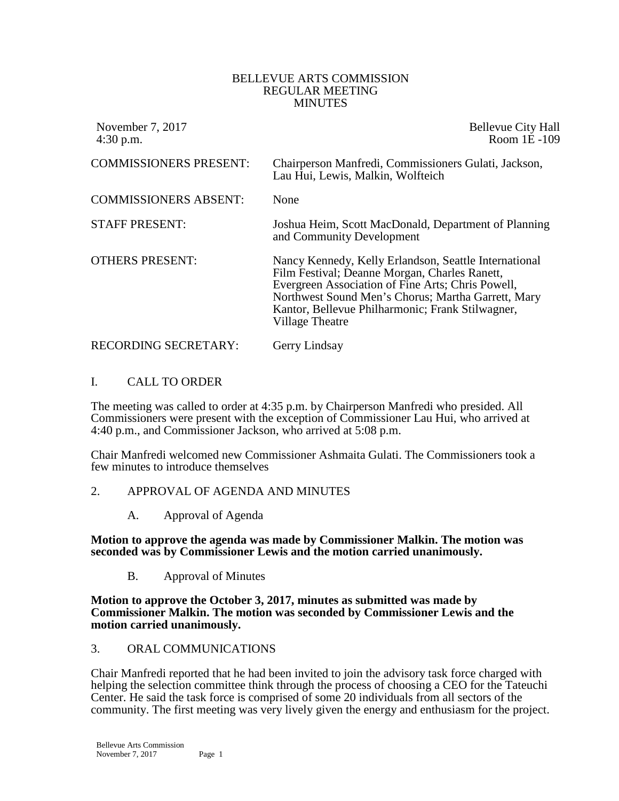#### BELLEVUE ARTS COMMISSION REGULAR MEETING **MINUTES**

| November 7, 2017<br>$4:30$ p.m. | <b>Bellevue City Hall</b><br>Room 1E-109                                                                                                                                                                                                                                                 |
|---------------------------------|------------------------------------------------------------------------------------------------------------------------------------------------------------------------------------------------------------------------------------------------------------------------------------------|
| <b>COMMISSIONERS PRESENT:</b>   | Chairperson Manfredi, Commissioners Gulati, Jackson,<br>Lau Hui, Lewis, Malkin, Wolfteich                                                                                                                                                                                                |
| <b>COMMISSIONERS ABSENT:</b>    | None                                                                                                                                                                                                                                                                                     |
| <b>STAFF PRESENT:</b>           | Joshua Heim, Scott MacDonald, Department of Planning<br>and Community Development                                                                                                                                                                                                        |
| <b>OTHERS PRESENT:</b>          | Nancy Kennedy, Kelly Erlandson, Seattle International<br>Film Festival; Deanne Morgan, Charles Ranett,<br>Evergreen Association of Fine Arts; Chris Powell,<br>Northwest Sound Men's Chorus; Martha Garrett, Mary<br>Kantor, Bellevue Philharmonic; Frank Stilwagner,<br>Village Theatre |
| <b>RECORDING SECRETARY:</b>     | Gerry Lindsay                                                                                                                                                                                                                                                                            |

### I. CALL TO ORDER

The meeting was called to order at 4:35 p.m. by Chairperson Manfredi who presided. All Commissioners were present with the exception of Commissioner Lau Hui, who arrived at 4:40 p.m., and Commissioner Jackson, who arrived at 5:08 p.m.

Chair Manfredi welcomed new Commissioner Ashmaita Gulati. The Commissioners took a few minutes to introduce themselves

## 2. APPROVAL OF AGENDA AND MINUTES

A. Approval of Agenda

**Motion to approve the agenda was made by Commissioner Malkin. The motion was seconded was by Commissioner Lewis and the motion carried unanimously.**

B. Approval of Minutes

**Motion to approve the October 3, 2017, minutes as submitted was made by Commissioner Malkin. The motion was seconded by Commissioner Lewis and the motion carried unanimously.**

#### 3. ORAL COMMUNICATIONS

Chair Manfredi reported that he had been invited to join the advisory task force charged with helping the selection committee think through the process of choosing a CEO for the Tateuchi Center. He said the task force is comprised of some 20 individuals from all sectors of the community. The first meeting was very lively given the energy and enthusiasm for the project.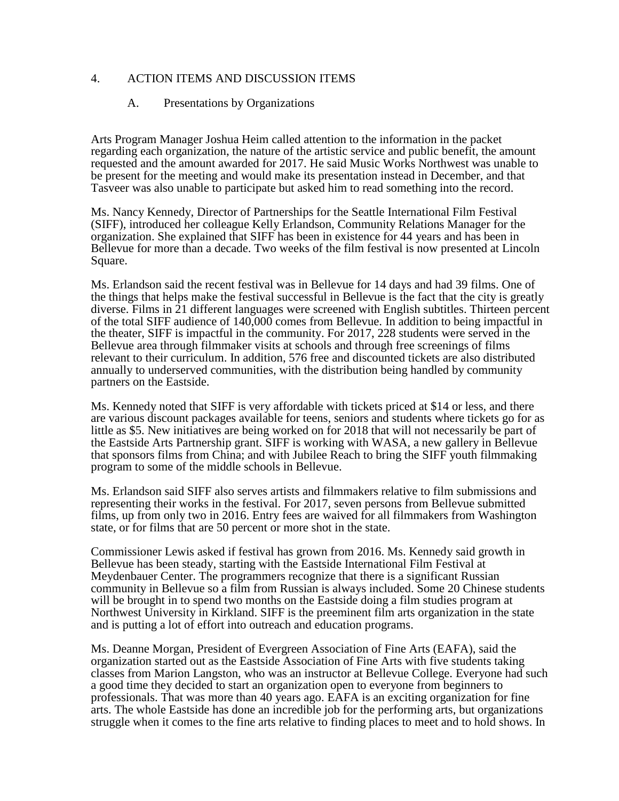### 4. ACTION ITEMS AND DISCUSSION ITEMS

### A. Presentations by Organizations

Arts Program Manager Joshua Heim called attention to the information in the packet regarding each organization, the nature of the artistic service and public benefit, the amount requested and the amount awarded for 2017. He said Music Works Northwest was unable to be present for the meeting and would make its presentation instead in December, and that Tasveer was also unable to participate but asked him to read something into the record.

Ms. Nancy Kennedy, Director of Partnerships for the Seattle International Film Festival (SIFF), introduced her colleague Kelly Erlandson, Community Relations Manager for the organization. She explained that SIFF has been in existence for 44 years and has been in Bellevue for more than a decade. Two weeks of the film festival is now presented at Lincoln Square.

Ms. Erlandson said the recent festival was in Bellevue for 14 days and had 39 films. One of the things that helps make the festival successful in Bellevue is the fact that the city is greatly diverse. Films in 21 different languages were screened with English subtitles. Thirteen percent of the total SIFF audience of 140,000 comes from Bellevue. In addition to being impactful in the theater, SIFF is impactful in the community. For 2017, 228 students were served in the Bellevue area through filmmaker visits at schools and through free screenings of films relevant to their curriculum. In addition, 576 free and discounted tickets are also distributed annually to underserved communities, with the distribution being handled by community partners on the Eastside.

Ms. Kennedy noted that SIFF is very affordable with tickets priced at \$14 or less, and there are various discount packages available for teens, seniors and students where tickets go for as little as \$5. New initiatives are being worked on for 2018 that will not necessarily be part of the Eastside Arts Partnership grant. SIFF is working with WASA, a new gallery in Bellevue that sponsors films from China; and with Jubilee Reach to bring the SIFF youth filmmaking program to some of the middle schools in Bellevue.

Ms. Erlandson said SIFF also serves artists and filmmakers relative to film submissions and representing their works in the festival. For 2017, seven persons from Bellevue submitted films, up from only two in 2016. Entry fees are waived for all filmmakers from Washington state, or for films that are 50 percent or more shot in the state.

Commissioner Lewis asked if festival has grown from 2016. Ms. Kennedy said growth in Bellevue has been steady, starting with the Eastside International Film Festival at Meydenbauer Center. The programmers recognize that there is a significant Russian community in Bellevue so a film from Russian is always included. Some 20 Chinese students will be brought in to spend two months on the Eastside doing a film studies program at Northwest University in Kirkland. SIFF is the preeminent film arts organization in the state and is putting a lot of effort into outreach and education programs.

Ms. Deanne Morgan, President of Evergreen Association of Fine Arts (EAFA), said the organization started out as the Eastside Association of Fine Arts with five students taking classes from Marion Langston, who was an instructor at Bellevue College. Everyone had such a good time they decided to start an organization open to everyone from beginners to professionals. That was more than 40 years ago. EAFA is an exciting organization for fine arts. The whole Eastside has done an incredible job for the performing arts, but organizations struggle when it comes to the fine arts relative to finding places to meet and to hold shows. In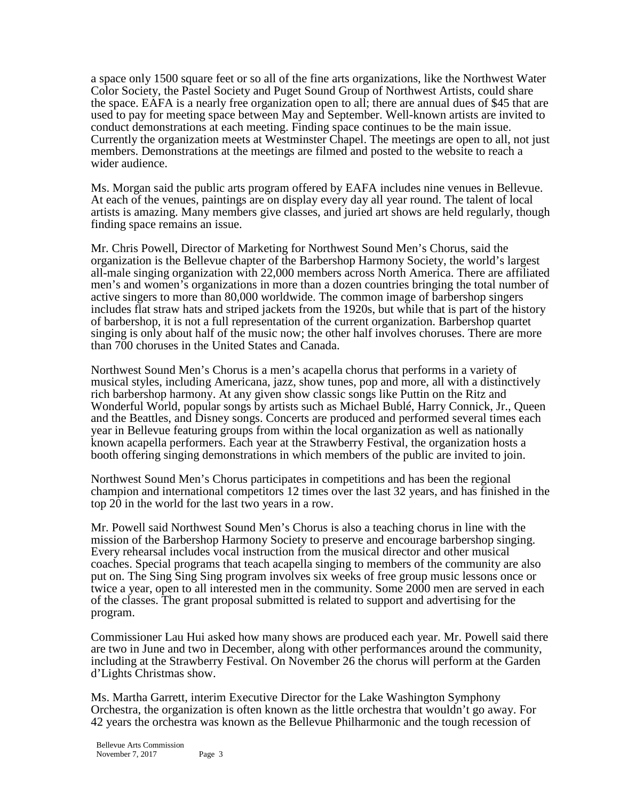a space only 1500 square feet or so all of the fine arts organizations, like the Northwest Water Color Society, the Pastel Society and Puget Sound Group of Northwest Artists, could share the space. EAFA is a nearly free organization open to all; there are annual dues of \$45 that are used to pay for meeting space between May and September. Well-known artists are invited to conduct demonstrations at each meeting. Finding space continues to be the main issue. Currently the organization meets at Westminster Chapel. The meetings are open to all, not just members. Demonstrations at the meetings are filmed and posted to the website to reach a wider audience.

Ms. Morgan said the public arts program offered by EAFA includes nine venues in Bellevue. At each of the venues, paintings are on display every day all year round. The talent of local artists is amazing. Many members give classes, and juried art shows are held regularly, though finding space remains an issue.

Mr. Chris Powell, Director of Marketing for Northwest Sound Men's Chorus, said the organization is the Bellevue chapter of the Barbershop Harmony Society, the world's largest all-male singing organization with 22,000 members across North America. There are affiliated men's and women's organizations in more than a dozen countries bringing the total number of active singers to more than 80,000 worldwide. The common image of barbershop singers includes flat straw hats and striped jackets from the 1920s, but while that is part of the history of barbershop, it is not a full representation of the current organization. Barbershop quartet singing is only about half of the music now; the other half involves choruses. There are more than 700 choruses in the United States and Canada.

Northwest Sound Men's Chorus is a men's acapella chorus that performs in a variety of musical styles, including Americana, jazz, show tunes, pop and more, all with a distinctively rich barbershop harmony. At any given show classic songs like Puttin on the Ritz and Wonderful World, popular songs by artists such as Michael Bublé, Harry Connick, Jr., Queen and the Beattles, and Disney songs. Concerts are produced and performed several times each year in Bellevue featuring groups from within the local organization as well as nationally known acapella performers. Each year at the Strawberry Festival, the organization hosts a booth offering singing demonstrations in which members of the public are invited to join.

Northwest Sound Men's Chorus participates in competitions and has been the regional champion and international competitors 12 times over the last 32 years, and has finished in the top  $20$  in the world for the last two years in a row.

Mr. Powell said Northwest Sound Men's Chorus is also a teaching chorus in line with the mission of the Barbershop Harmony Society to preserve and encourage barbershop singing. Every rehearsal includes vocal instruction from the musical director and other musical coaches. Special programs that teach acapella singing to members of the community are also put on. The Sing Sing Sing program involves six weeks of free group music lessons once or twice a year, open to all interested men in the community. Some 2000 men are served in each of the classes. The grant proposal submitted is related to support and advertising for the program.

Commissioner Lau Hui asked how many shows are produced each year. Mr. Powell said there are two in June and two in December, along with other performances around the community, including at the Strawberry Festival. On November 26 the chorus will perform at the Garden d'Lights Christmas show.

Ms. Martha Garrett, interim Executive Director for the Lake Washington Symphony Orchestra, the organization is often known as the little orchestra that wouldn't go away. For 42 years the orchestra was known as the Bellevue Philharmonic and the tough recession of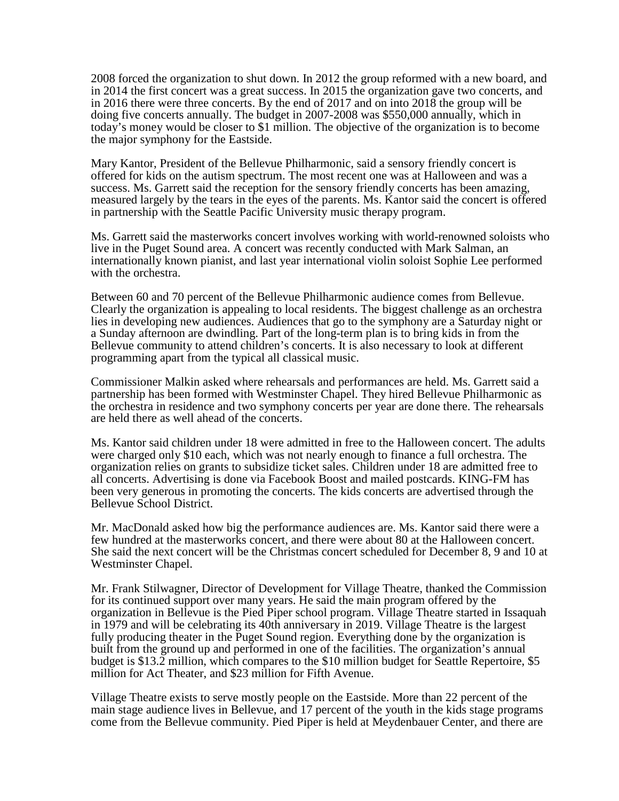2008 forced the organization to shut down. In 2012 the group reformed with a new board, and in 2014 the first concert was a great success. In 2015 the organization gave two concerts, and in 2016 there were three concerts. By the end of 2017 and on into 2018 the group will be doing five concerts annually. The budget in 2007-2008 was \$550,000 annually, which in today's money would be closer to \$1 million. The objective of the organization is to become the major symphony for the Eastside.

Mary Kantor, President of the Bellevue Philharmonic, said a sensory friendly concert is offered for kids on the autism spectrum. The most recent one was at Halloween and was a success. Ms. Garrett said the reception for the sensory friendly concerts has been amazing, measured largely by the tears in the eyes of the parents. Ms. Kantor said the concert is offered in partnership with the Seattle Pacific University music therapy program.

Ms. Garrett said the masterworks concert involves working with world-renowned soloists who live in the Puget Sound area. A concert was recently conducted with Mark Salman, an internationally known pianist, and last year international violin soloist Sophie Lee performed with the orchestra.

Between 60 and 70 percent of the Bellevue Philharmonic audience comes from Bellevue. Clearly the organization is appealing to local residents. The biggest challenge as an orchestra lies in developing new audiences. Audiences that go to the symphony are a Saturday night or a Sunday afternoon are dwindling. Part of the long-term plan is to bring kids in from the Bellevue community to attend children's concerts. It is also necessary to look at different programming apart from the typical all classical music.

Commissioner Malkin asked where rehearsals and performances are held. Ms. Garrett said a partnership has been formed with Westminster Chapel. They hired Bellevue Philharmonic as the orchestra in residence and two symphony concerts per year are done there. The rehearsals are held there as well ahead of the concerts.

Ms. Kantor said children under 18 were admitted in free to the Halloween concert. The adults were charged only \$10 each, which was not nearly enough to finance a full orchestra. The organization relies on grants to subsidize ticket sales. Children under 18 are admitted free to all concerts. Advertising is done via Facebook Boost and mailed postcards. KING-FM has been very generous in promoting the concerts. The kids concerts are advertised through the Bellevue School District.

Mr. MacDonald asked how big the performance audiences are. Ms. Kantor said there were a few hundred at the masterworks concert, and there were about 80 at the Halloween concert. She said the next concert will be the Christmas concert scheduled for December 8, 9 and 10 at Westminster Chapel.

Mr. Frank Stilwagner, Director of Development for Village Theatre, thanked the Commission for its continued support over many years. He said the main program offered by the organization in Bellevue is the Pied Piper school program. Village Theatre started in Issaquah in 1979 and will be celebrating its 40th anniversary in 2019. Village Theatre is the largest fully producing theater in the Puget Sound region. Everything done by the organization is built from the ground up and performed in one of the facilities. The organization's annual budget is \$13.2 million, which compares to the \$10 million budget for Seattle Repertoire, \$5 million for Act Theater, and \$23 million for Fifth Avenue.

Village Theatre exists to serve mostly people on the Eastside. More than 22 percent of the main stage audience lives in Bellevue, and 17 percent of the youth in the kids stage programs come from the Bellevue community. Pied Piper is held at Meydenbauer Center, and there are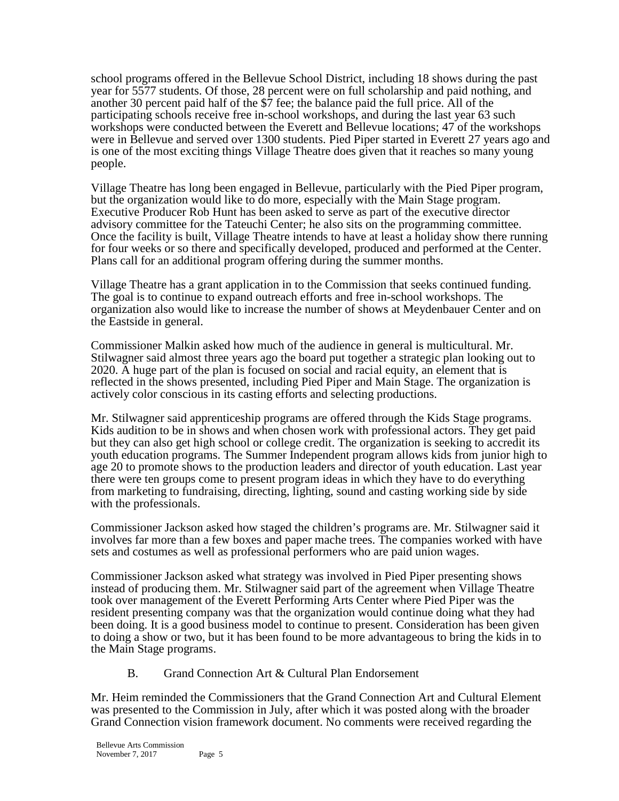school programs offered in the Bellevue School District, including 18 shows during the past year for 5577 students. Of those, 28 percent were on full scholarship and paid nothing, and another 30 percent paid half of the \$7 fee; the balance paid the full price. All of the participating schools receive free in-school workshops, and during the last year 63 such workshops were conducted between the Everett and Bellevue locations; 47 of the workshops were in Bellevue and served over 1300 students. Pied Piper started in Everett 27 years ago and is one of the most exciting things Village Theatre does given that it reaches so many young people.

Village Theatre has long been engaged in Bellevue, particularly with the Pied Piper program, but the organization would like to do more, especially with the Main Stage program. Executive Producer Rob Hunt has been asked to serve as part of the executive director advisory committee for the Tateuchi Center; he also sits on the programming committee. Once the facility is built, Village Theatre intends to have at least a holiday show there running for four weeks or so there and specifically developed, produced and performed at the Center. Plans call for an additional program offering during the summer months.

Village Theatre has a grant application in to the Commission that seeks continued funding. The goal is to continue to expand outreach efforts and free in-school workshops. The organization also would like to increase the number of shows at Meydenbauer Center and on the Eastside in general.

Commissioner Malkin asked how much of the audience in general is multicultural. Mr. Stilwagner said almost three years ago the board put together a strategic plan looking out to 2020. A huge part of the plan is focused on social and racial equity, an element that is reflected in the shows presented, including Pied Piper and Main Stage. The organization is actively color conscious in its casting efforts and selecting productions.

Mr. Stilwagner said apprenticeship programs are offered through the Kids Stage programs. Kids audition to be in shows and when chosen work with professional actors. They get paid but they can also get high school or college credit. The organization is seeking to accredit its youth education programs. The Summer Independent program allows kids from junior high to age 20 to promote shows to the production leaders and director of youth education. Last year there were ten groups come to present program ideas in which they have to do everything from marketing to fundraising, directing, lighting, sound and casting working side by side with the professionals.

Commissioner Jackson asked how staged the children's programs are. Mr. Stilwagner said it involves far more than a few boxes and paper mache trees. The companies worked with have sets and costumes as well as professional performers who are paid union wages.

Commissioner Jackson asked what strategy was involved in Pied Piper presenting shows instead of producing them. Mr. Stilwagner said part of the agreement when Village Theatre took over management of the Everett Performing Arts Center where Pied Piper was the resident presenting company was that the organization would continue doing what they had been doing. It is a good business model to continue to present. Consideration has been given to doing a show or two, but it has been found to be more advantageous to bring the kids in to the Main Stage programs.

B. Grand Connection Art & Cultural Plan Endorsement

Mr. Heim reminded the Commissioners that the Grand Connection Art and Cultural Element was presented to the Commission in July, after which it was posted along with the broader Grand Connection vision framework document. No comments were received regarding the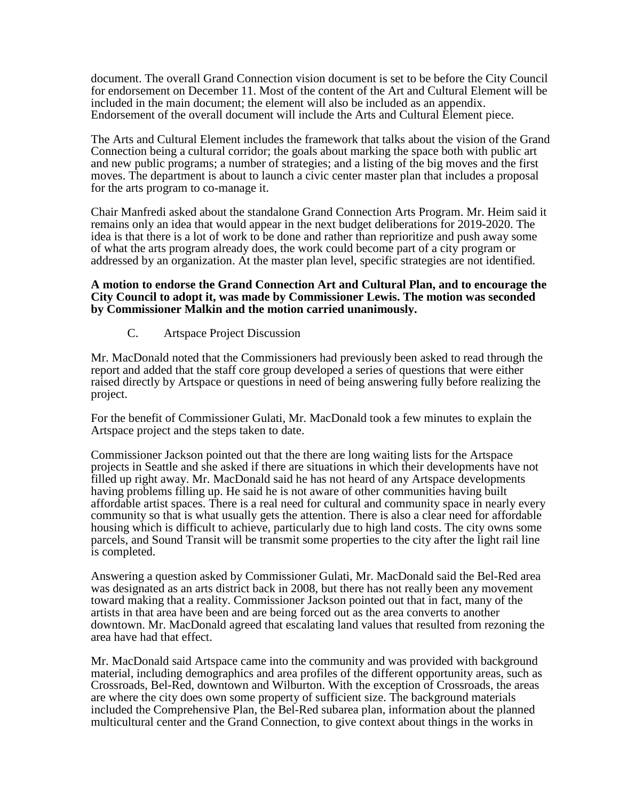document. The overall Grand Connection vision document is set to be before the City Council for endorsement on December 11. Most of the content of the Art and Cultural Element will be included in the main document; the element will also be included as an appendix. Endorsement of the overall document will include the Arts and Cultural Element piece.

The Arts and Cultural Element includes the framework that talks about the vision of the Grand Connection being a cultural corridor; the goals about marking the space both with public art and new public programs; a number of strategies; and a listing of the big moves and the first moves. The department is about to launch a civic center master plan that includes a proposal for the arts program to co-manage it.

Chair Manfredi asked about the standalone Grand Connection Arts Program. Mr. Heim said it remains only an idea that would appear in the next budget deliberations for 2019-2020. The idea is that there is a lot of work to be done and rather than reprioritize and push away some of what the arts program already does, the work could become part of a city program or addressed by an organization. At the master plan level, specific strategies are not identified.

#### **A motion to endorse the Grand Connection Art and Cultural Plan, and to encourage the City Council to adopt it, was made by Commissioner Lewis. The motion was seconded by Commissioner Malkin and the motion carried unanimously.**

### C. Artspace Project Discussion

Mr. MacDonald noted that the Commissioners had previously been asked to read through the report and added that the staff core group developed a series of questions that were either raised directly by Artspace or questions in need of being answering fully before realizing the project.

For the benefit of Commissioner Gulati, Mr. MacDonald took a few minutes to explain the Artspace project and the steps taken to date.

Commissioner Jackson pointed out that the there are long waiting lists for the Artspace projects in Seattle and she asked if there are situations in which their developments have not filled up right away. Mr. MacDonald said he has not heard of any Artspace developments having problems filling up. He said he is not aware of other communities having built affordable artist spaces. There is a real need for cultural and community space in nearly every community so that is what usually gets the attention. There is also a clear need for affordable housing which is difficult to achieve, particularly due to high land costs. The city owns some parcels, and Sound Transit will be transmit some properties to the city after the light rail line is completed.

Answering a question asked by Commissioner Gulati, Mr. MacDonald said the Bel-Red area was designated as an arts district back in 2008, but there has not really been any movement toward making that a reality. Commissioner Jackson pointed out that in fact, many of the artists in that area have been and are being forced out as the area converts to another downtown. Mr. MacDonald agreed that escalating land values that resulted from rezoning the area have had that effect.

Mr. MacDonald said Artspace came into the community and was provided with background material, including demographics and area profiles of the different opportunity areas, such as Crossroads, Bel-Red, downtown and Wilburton. With the exception of Crossroads, the areas are where the city does own some property of sufficient size. The background materials included the Comprehensive Plan, the Bel-Red subarea plan, information about the planned multicultural center and the Grand Connection, to give context about things in the works in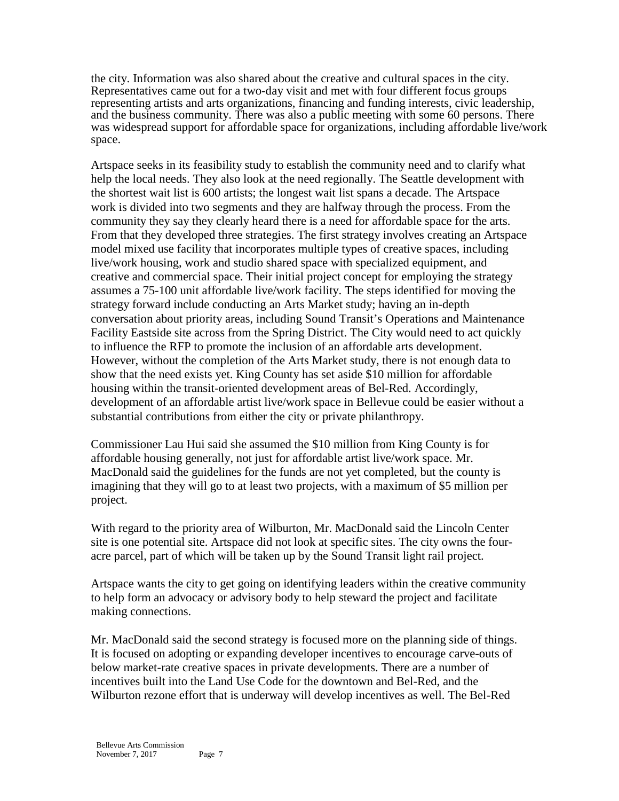the city. Information was also shared about the creative and cultural spaces in the city. Representatives came out for a two-day visit and met with four different focus groups representing artists and arts organizations, financing and funding interests, civic leadership, and the business community. There was also a public meeting with some 60 persons. There was widespread support for affordable space for organizations, including affordable live/work space.

Artspace seeks in its feasibility study to establish the community need and to clarify what help the local needs. They also look at the need regionally. The Seattle development with the shortest wait list is 600 artists; the longest wait list spans a decade. The Artspace work is divided into two segments and they are halfway through the process. From the community they say they clearly heard there is a need for affordable space for the arts. From that they developed three strategies. The first strategy involves creating an Artspace model mixed use facility that incorporates multiple types of creative spaces, including live/work housing, work and studio shared space with specialized equipment, and creative and commercial space. Their initial project concept for employing the strategy assumes a 75-100 unit affordable live/work facility. The steps identified for moving the strategy forward include conducting an Arts Market study; having an in-depth conversation about priority areas, including Sound Transit's Operations and Maintenance Facility Eastside site across from the Spring District. The City would need to act quickly to influence the RFP to promote the inclusion of an affordable arts development. However, without the completion of the Arts Market study, there is not enough data to show that the need exists yet. King County has set aside \$10 million for affordable housing within the transit-oriented development areas of Bel-Red. Accordingly, development of an affordable artist live/work space in Bellevue could be easier without a substantial contributions from either the city or private philanthropy.

Commissioner Lau Hui said she assumed the \$10 million from King County is for affordable housing generally, not just for affordable artist live/work space. Mr. MacDonald said the guidelines for the funds are not yet completed, but the county is imagining that they will go to at least two projects, with a maximum of \$5 million per project.

With regard to the priority area of Wilburton, Mr. MacDonald said the Lincoln Center site is one potential site. Artspace did not look at specific sites. The city owns the fouracre parcel, part of which will be taken up by the Sound Transit light rail project.

Artspace wants the city to get going on identifying leaders within the creative community to help form an advocacy or advisory body to help steward the project and facilitate making connections.

Mr. MacDonald said the second strategy is focused more on the planning side of things. It is focused on adopting or expanding developer incentives to encourage carve-outs of below market-rate creative spaces in private developments. There are a number of incentives built into the Land Use Code for the downtown and Bel-Red, and the Wilburton rezone effort that is underway will develop incentives as well. The Bel-Red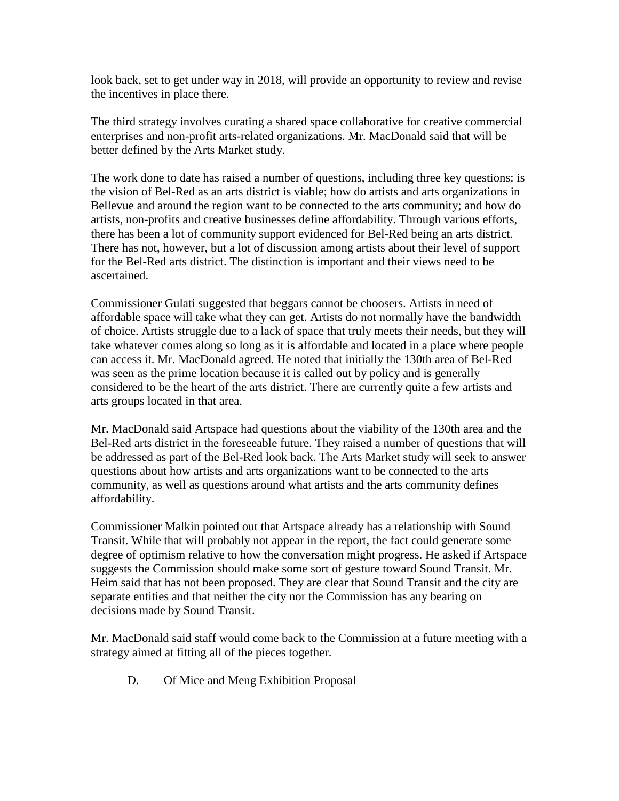look back, set to get under way in 2018, will provide an opportunity to review and revise the incentives in place there.

The third strategy involves curating a shared space collaborative for creative commercial enterprises and non-profit arts-related organizations. Mr. MacDonald said that will be better defined by the Arts Market study.

The work done to date has raised a number of questions, including three key questions: is the vision of Bel-Red as an arts district is viable; how do artists and arts organizations in Bellevue and around the region want to be connected to the arts community; and how do artists, non-profits and creative businesses define affordability. Through various efforts, there has been a lot of community support evidenced for Bel-Red being an arts district. There has not, however, but a lot of discussion among artists about their level of support for the Bel-Red arts district. The distinction is important and their views need to be ascertained.

Commissioner Gulati suggested that beggars cannot be choosers. Artists in need of affordable space will take what they can get. Artists do not normally have the bandwidth of choice. Artists struggle due to a lack of space that truly meets their needs, but they will take whatever comes along so long as it is affordable and located in a place where people can access it. Mr. MacDonald agreed. He noted that initially the 130th area of Bel-Red was seen as the prime location because it is called out by policy and is generally considered to be the heart of the arts district. There are currently quite a few artists and arts groups located in that area.

Mr. MacDonald said Artspace had questions about the viability of the 130th area and the Bel-Red arts district in the foreseeable future. They raised a number of questions that will be addressed as part of the Bel-Red look back. The Arts Market study will seek to answer questions about how artists and arts organizations want to be connected to the arts community, as well as questions around what artists and the arts community defines affordability.

Commissioner Malkin pointed out that Artspace already has a relationship with Sound Transit. While that will probably not appear in the report, the fact could generate some degree of optimism relative to how the conversation might progress. He asked if Artspace suggests the Commission should make some sort of gesture toward Sound Transit. Mr. Heim said that has not been proposed. They are clear that Sound Transit and the city are separate entities and that neither the city nor the Commission has any bearing on decisions made by Sound Transit.

Mr. MacDonald said staff would come back to the Commission at a future meeting with a strategy aimed at fitting all of the pieces together.

D. Of Mice and Meng Exhibition Proposal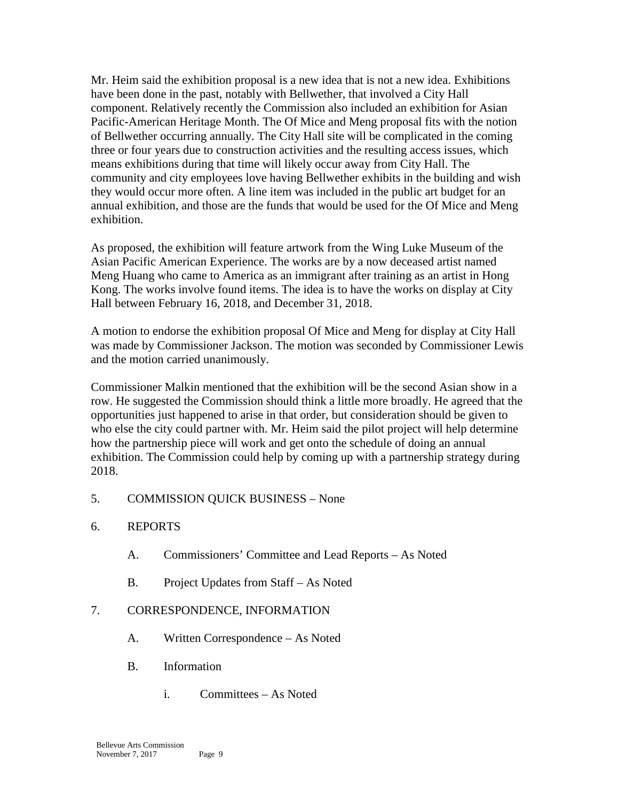Mr. Heim said the exhibition proposal is a new idea that is not a new idea. Exhibitions have been done in the past, notably with Bellwether, that involved a City Hall component. Relatively recently the Commission also included an exhibition for Asian Pacific-American Heritage Month. The Of Mice and Meng proposal fits with the notion of Bellwether occurring annually. The City Hall site will be complicated in the coming three or four years due to construction activities and the resulting access issues, which means exhibitions during that time will likely occur away from City Hall. The community and city employees love having Bellwether exhibits in the building and wish they would occur more often. A line item was included in the public art budget for an annual exhibition, and those are the funds that would be used for the Of Mice and Meng exhibition.

As proposed, the exhibition will feature artwork from the Wing Luke Museum of the Asian Pacific American Experience. The works are by a now deceased artist named Meng Huang who came to America as an immigrant after training as an artist in Hong Kong. The works involve found items. The idea is to have the works on display at City Hall between February 16, 2018, and December 31, 2018.

A motion to endorse the exhibition proposal Of Mice and Meng for display at City Hall was made by Commissioner Jackson. The motion was seconded by Commissioner Lewis and the motion carried unanimously.

Commissioner Malkin mentioned that the exhibition will be the second Asian show in a row. He suggested the Commission should think a little more broadly. He agreed that the opportunities just happened to arise in that order, but consideration should be given to who else the city could partner with. Mr. Heim said the pilot project will help determine how the partnership piece will work and get onto the schedule of doing an annual exhibition. The Commission could help by coming up with a partnership strategy during 2018.

- 5. COMMISSION QUICK BUSINESS None
- 6. REPORTS
	- A. Commissioners' Committee and Lead Reports As Noted
	- B. Project Updates from Staff As Noted

# 7. CORRESPONDENCE, INFORMATION

- A. Written Correspondence As Noted
- B. Information
	- i. Committees As Noted